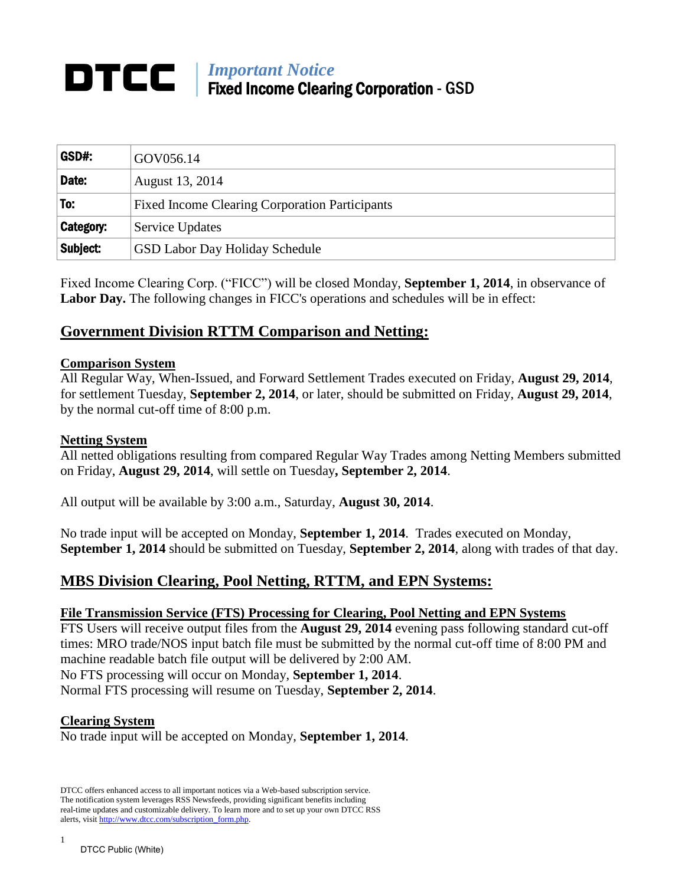# *Important Notice* Fixed Income Clearing Corporation - GSD

| GSD#:            | GOV056.14                                             |
|------------------|-------------------------------------------------------|
| Date:            | August 13, 2014                                       |
| To:              | <b>Fixed Income Clearing Corporation Participants</b> |
| <b>Category:</b> | Service Updates                                       |
| Subject:         | <b>GSD Labor Day Holiday Schedule</b>                 |

Fixed Income Clearing Corp. ("FICC") will be closed Monday, **September 1, 2014**, in observance of Labor Day. The following changes in FICC's operations and schedules will be in effect:

# **Government Division RTTM Comparison and Netting:**

## **Comparison System**

All Regular Way, When-Issued, and Forward Settlement Trades executed on Friday, **August 29, 2014**, for settlement Tuesday, **September 2, 2014**, or later, should be submitted on Friday, **August 29, 2014**, by the normal cut-off time of 8:00 p.m.

## **Netting System**

All netted obligations resulting from compared Regular Way Trades among Netting Members submitted on Friday, **August 29, 2014**, will settle on Tuesday**, September 2, 2014**.

All output will be available by 3:00 a.m., Saturday, **August 30, 2014**.

No trade input will be accepted on Monday, **September 1, 2014**. Trades executed on Monday, **September 1, 2014** should be submitted on Tuesday, **September 2, 2014**, along with trades of that day.

# **MBS Division Clearing, Pool Netting, RTTM, and EPN Systems:**

#### **File Transmission Service (FTS) Processing for Clearing, Pool Netting and EPN Systems**

FTS Users will receive output files from the **August 29, 2014** evening pass following standard cut-off times: MRO trade/NOS input batch file must be submitted by the normal cut-off time of 8:00 PM and machine readable batch file output will be delivered by 2:00 AM. No FTS processing will occur on Monday, **September 1, 2014**.

Normal FTS processing will resume on Tuesday, **September 2, 2014**.

# **Clearing System**

No trade input will be accepted on Monday, **September 1, 2014**.

DTCC offers enhanced access to all important notices via a Web-based subscription service. The notification system leverages RSS Newsfeeds, providing significant benefits including real-time updates and customizable delivery. To learn more and to set up your own DTCC RSS alerts, visit http://www.dtcc.com/subscription\_form.php.

1